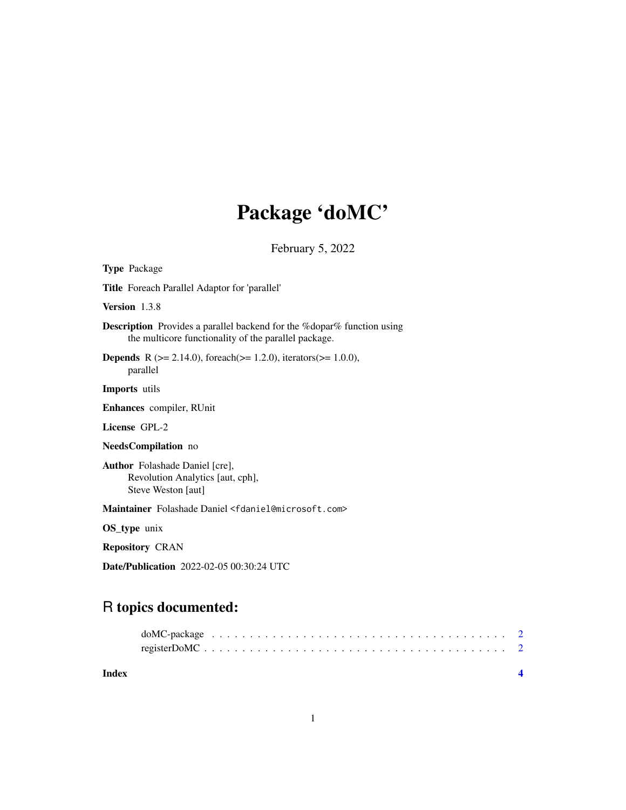# Package 'doMC'

February 5, 2022

| <b>Type Package</b>                                                                                                                    |
|----------------------------------------------------------------------------------------------------------------------------------------|
| <b>Title</b> Foreach Parallel Adaptor for 'parallel'                                                                                   |
| Version 1.3.8                                                                                                                          |
| <b>Description</b> Provides a parallel backend for the % dopar% function using<br>the multicore functionality of the parallel package. |
| <b>Depends</b> R ( $>= 2.14.0$ ), foreach( $>= 1.2.0$ ), iterators( $>= 1.0.0$ ),<br>parallel                                          |
| <b>Imports</b> utils                                                                                                                   |
| Enhances compiler, RUnit                                                                                                               |
| License GPL-2                                                                                                                          |
| NeedsCompilation no                                                                                                                    |
| <b>Author</b> Folashade Daniel [cre],<br>Revolution Analytics [aut, cph],<br>Steve Weston [aut]                                        |
| Maintainer Folashade Daniel <fdaniel@microsoft.com></fdaniel@microsoft.com>                                                            |
| OS_type unix                                                                                                                           |
| <b>Repository CRAN</b>                                                                                                                 |
| <b>Date/Publication</b> 2022-02-05 00:30:24 UTC                                                                                        |

## R topics documented:

| Index |  |  |  |  |  |  |  |  |  |  |  |  |  |  |  |  |
|-------|--|--|--|--|--|--|--|--|--|--|--|--|--|--|--|--|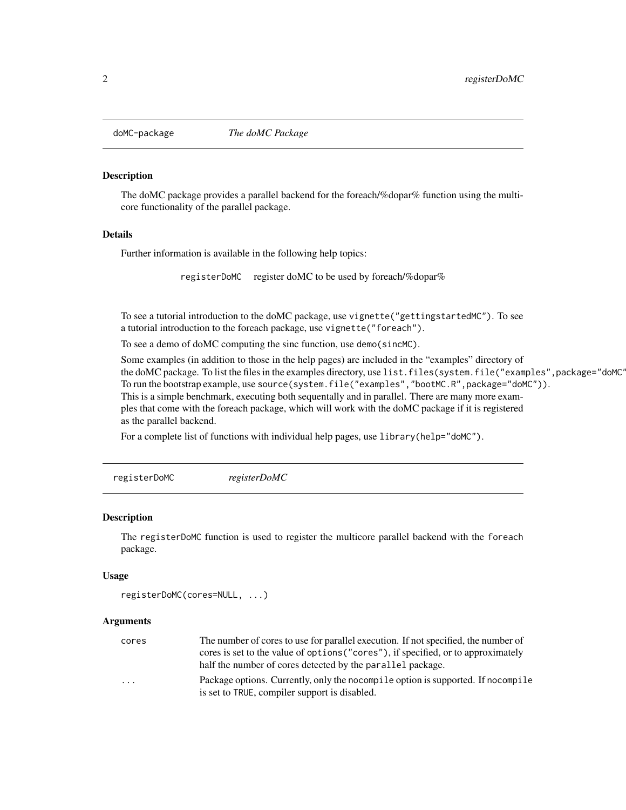<span id="page-1-0"></span>

#### Description

The doMC package provides a parallel backend for the foreach/%dopar% function using the multicore functionality of the parallel package.

#### Details

Further information is available in the following help topics:

registerDoMC register doMC to be used by foreach/%dopar%

To see a tutorial introduction to the doMC package, use vignette("gettingstartedMC"). To see a tutorial introduction to the foreach package, use vignette("foreach").

To see a demo of doMC computing the sinc function, use demo(sincMC).

Some examples (in addition to those in the help pages) are included in the "examples" directory of the doMC package. To list the files in the examples directory, use list.files(system.file("examples",package="doMC' To run the bootstrap example, use source(system.file("examples","bootMC.R",package="doMC")). This is a simple benchmark, executing both sequentally and in parallel. There are many more examples that come with the foreach package, which will work with the doMC package if it is registered as the parallel backend.

For a complete list of functions with individual help pages, use library(help="doMC").

registerDoMC *registerDoMC*

#### Description

The registerDoMC function is used to register the multicore parallel backend with the foreach package.

#### Usage

```
registerDoMC(cores=NULL, ...)
```
#### Arguments

| cores                   | The number of cores to use for parallel execution. If not specified, the number of |
|-------------------------|------------------------------------------------------------------------------------|
|                         | cores is set to the value of options ("cores"), if specified, or to approximately  |
|                         | half the number of cores detected by the parallel package.                         |
| $\cdot$ $\cdot$ $\cdot$ | Package options. Currently, only the nocompile option is supported. If nocompile   |
|                         | is set to TRUE, compiler support is disabled.                                      |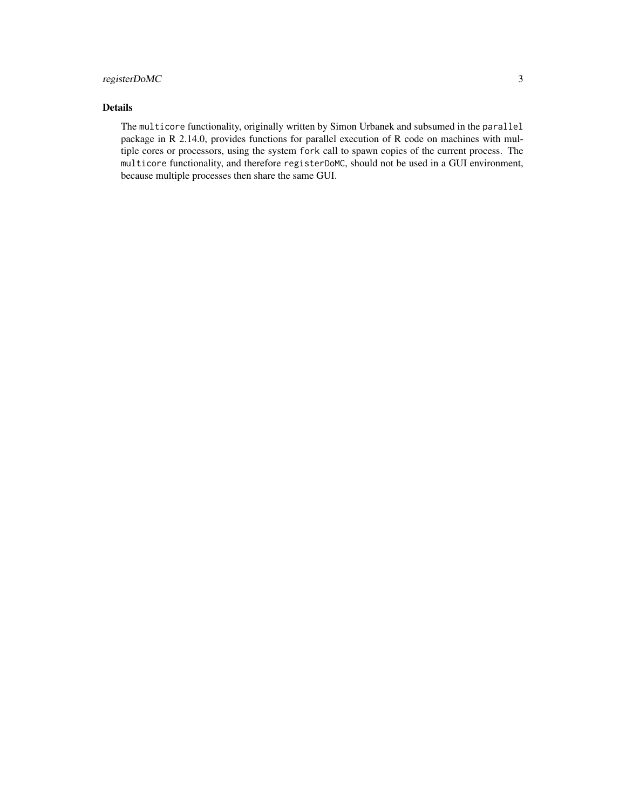### registerDoMC 3

### Details

The multicore functionality, originally written by Simon Urbanek and subsumed in the parallel package in R 2.14.0, provides functions for parallel execution of R code on machines with multiple cores or processors, using the system fork call to spawn copies of the current process. The multicore functionality, and therefore registerDoMC, should not be used in a GUI environment, because multiple processes then share the same GUI.